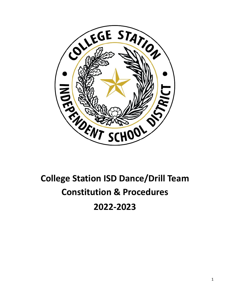

# **College Station ISD Dance/Drill Team Constitution & Procedures 2022-2023**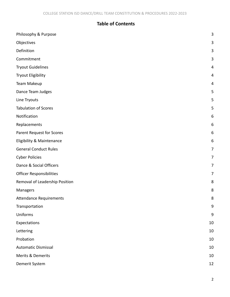# **Table of Contents**

| Philosophy & Purpose            | $\mathbf{3}$     |
|---------------------------------|------------------|
| Objectives                      | 3                |
| Definition                      | 3                |
| Commitment                      | 3                |
| <b>Tryout Guidelines</b>        | 4                |
| <b>Tryout Eligibility</b>       | 4                |
| Team Makeup                     | 4                |
| Dance Team Judges               | 5                |
| Line Tryouts                    | 5                |
| <b>Tabulation of Scores</b>     | 5                |
| Notification                    | $\boldsymbol{6}$ |
| Replacements                    | 6                |
| Parent Request for Scores       | 6                |
| Eligibility & Maintenance       | 6                |
| <b>General Conduct Rules</b>    | 7                |
| <b>Cyber Policies</b>           | 7                |
| Dance & Social Officers         | $\overline{7}$   |
| <b>Officer Responsibilities</b> | 7                |
| Removal of Leadership Position  | 8                |
| Managers                        | 8                |
| <b>Attendance Requirements</b>  | 8                |
| Transportation                  | 9                |
| Uniforms                        | $\boldsymbol{9}$ |
| Expectations                    | 10               |
| Lettering                       | $10\,$           |
| Probation                       | $10\,$           |
| <b>Automatic Dismissal</b>      | 10               |
| Merits & Demerits               | $10\,$           |
| Demerit System                  | $12\,$           |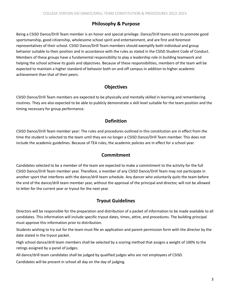#### **Philosophy & Purpose**

<span id="page-2-0"></span>Being a CSISD Dance/Drill Team member is an honor and special privilege. Dance/Drill teams exist to promote good sportsmanship, good citizenship, wholesome school spirit and entertainment, and are first and foremost representatives of their school. CSISD Dance/Drill Team members should exemplify both individual and group behavior suitable to their position and in accordance with the rules as stated in the CSISD Student Code of Conduct. Members of these groups have a fundamental responsibility to play a leadership role in building teamwork and helping the school achieve its goals and objectives. Because of these responsibilities, members of the team will be expected to maintain a higher standard of behavior both on and off campus in addition to higher academic achievement than that of their peers.

### **Objectives**

<span id="page-2-1"></span>CSISD Dance/Drill Team members are expected to be physically and mentally skilled in learning and remembering routines. They are also expected to be able to publicly demonstrate a skill level suitable for the team position and the timing necessary for group performance.

### **Definition**

<span id="page-2-2"></span>CSISD Dance/Drill Team member year: The rules and procedures outlined in this constitution are in effect from the time the student is selected to the team until they are no longer a CSISD Dance/Drill Team member. This does not include the academic guidelines. Because of TEA rules, the academic policies are in effect for a school year.

#### **Commitment**

<span id="page-2-3"></span>Candidates selected to be a member of the team are expected to make a commitment to the activity for the full CSISD Dance/Drill Team member year. Therefore, a member of any CSISD Dance/Drill Team may not participate in another sport that interferes with the dance/drill team schedule. Any dancer who voluntarily quits the team before the end of the dance/drill team member year, without the approval of the principal and director, will not be allowed to letter for the current year or tryout for the next year.

## **Tryout Guidelines**

<span id="page-2-4"></span>Directors will be responsible for the preparation and distribution of a packet of information to be made available to all candidates. This information will include specific tryout dates, times, attire, and procedures. The building principal must approve this information prior to distribution.

Students wishing to try out for the team must file an application and parent permission form with the director by the date stated in the tryout packet.

High school dance/drill team members shall be selected by a scoring method that assigns a weight of 100% to the ratings assigned by a panel of judges.

All dance/drill team candidates shall be judged by qualified judges who are not employees of CSISD.

Candidates will be present in school all day on the day of judging.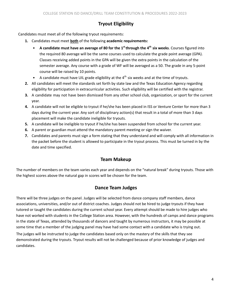## **Tryout Eligibility**

<span id="page-3-0"></span>Candidates must meet all of the following tryout requirements:

- **1.** Candidates must meet **both** of the following **academic requirements:**
	- A candidate must have an average of 80 for the  $1<sup>st</sup>$  through the  $4<sup>th</sup>$  six weeks. Courses figured into the required 80 average will be the same courses used to calculate the grade point average (GPA). Classes receiving added points in the GPA will be given the extra points in the calculation of the semester average. Any course with a grade of WF will be averaged as a 50. The grade in any 5-point course will be raised by 10 points.
	- A candidate must have UIL grade eligibility at the  $4<sup>th</sup>$  six weeks and at the time of tryouts.
- **2.** All candidates will meet the standards set forth by state law and the Texas Education Agency regarding eligibility for participation in extracurricular activities. Such eligibility will be certified with the registrar.
- **3.** A candidate may not have been dismissed from any other school club, organization, or sport for the current year.
- **4.** A candidate will not be eligible to tryout if he/she has been placed in ISS or Venture Center for more than 3 days during the current year. Any sort of disciplinary action(s) that result in a total of more than 3 days placement will make the candidate ineligible for tryouts.
- **5.** A candidate will be ineligible to tryout if he/she has been suspended from school for the current year.
- **6.** A parent or guardian must attend the mandatory parent meeting or sign the waiver.
- **7.** Candidates and parents must sign a form stating that they understand and will comply with all information in the packet before the student is allowed to participate in the tryout process. This must be turned in by the date and time specified.

#### **Team Makeup**

<span id="page-3-2"></span><span id="page-3-1"></span>The number of members on the team varies each year and depends on the "natural break" during tryouts. Those with the highest scores above the natural gap in scores will be chosen for the team.

#### **Dance Team Judges**

There will be three judges on the panel. Judges will be selected from dance company staff members, dance associations, universities, and/or out of district coaches. Judges should not be hired to judge tryouts if they have tutored or taught the candidates during the current school year. Every attempt should be made to hire judges who have not worked with students in the College Station area. However, with the hundreds of camps and dance programs in the state of Texas, attended by thousands of dancers and taught by numerous instructors, it may be possible at some time that a member of the judging panel may have had some contact with a candidate who is trying out.

The judges will be instructed to judge the candidates based only on the mastery of the skills that they see demonstrated during the tryouts. Tryout results will not be challenged because of prior knowledge of judges and candidates.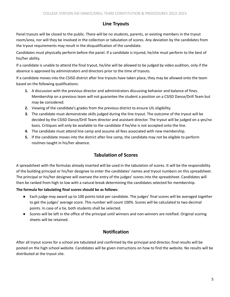#### **Line Tryouts**

<span id="page-4-0"></span>Panel tryouts will be closed to the public. There will be no students, parents, or existing members in the tryout room/area, nor will they be involved in the collection or tabulation of scores. Any deviation by the candidates from the tryout requirements may result in the disqualification of the candidate.

Candidates must physically perform before the panel. If a candidate is injured, he/she must perform to the best of his/her ability.

If a candidate is unable to attend the final tryout, he/she will be allowed to be judged by video audition, only if the absence is approved by administrators and directors prior to the time of tryouts.

If a candidate moves into the CSISD district after line tryouts have taken place, they may be allowed onto the team based on the following qualifications:

- **1.** A discussion with the previous director and administrators discussing behavior and balance of fines. Membership on a previous team will not guarantee the student a position on a CSISD Dance/Drill Team but may be considered.
- **2.** Viewing of the candidate's grades from the previous district to ensure UIL eligibility.
- **3.** The candidate must demonstrate skills judged during the line tryout. The outcome of the tryout will be decided by the CSISD Dance/Drill Team director and assistant director. The tryout will be judged on a yes/no basis. Critiques will only be available to the candidate if he/she is not accepted onto the line.
- **4.** The candidate must attend line camp and assume all fees associated with new membership.
- <span id="page-4-1"></span>**5.** If the candidate moves into the district after line camp, the candidate may not be eligible to perform routines taught in his/her absence.

## **Tabulation of Scores**

A spreadsheet with the formulas already inserted will be used in the tabulation of scores. It will be the responsibility of the building principal or his/her designee to enter the candidates' names and tryout numbers on this spreadsheet. The principal or his/her designee will oversee the entry of the judges' scores into the spreadsheet. Candidates will then be ranked from high to low with a natural break determining the candidates selected for membership.

#### **The formula for tabulating final scores should be as follows:**

- Each judge may award up to 100 points total per candidate. The judges' final scores will be averaged together to get the judges' average score. This number will count 100%. Scores will be calculated to two decimal points. In case of a tie, both students shall be selected.
- <span id="page-4-2"></span>● Scores will be left in the office of the principal until winners and non-winners are notified. Original scoring sheets will be retained.

## **Notification**

After all tryout scores for a school are tabulated and confirmed by the principal and director, final results will be posted on the high school website. Candidates will be given instructions on how to find the website. No results will be distributed at the tryout site.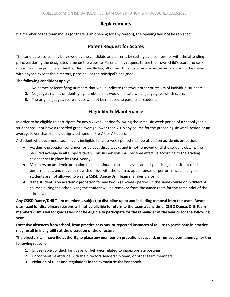#### **Replacements**

<span id="page-5-1"></span><span id="page-5-0"></span>If a member of the team moves (or there is an opening for any reason), the opening **will not** be replaced.

#### **Parent Request for Scores**

The candidate scores may be viewed by the candidate and parents by setting up a conference with the attending principal during the designated time on the website. Parents may request to see their own child's score (no rank score) from the principal or his/her designee. By law, all other student scores are protected and cannot be shared with anyone except the directors, principal, or the principal's designee.

#### **The following conditions apply:**

- **1.** No names or identifying numbers that would indicate the tryout order or results of individual students.
- **2.** No judge's names or identifying numbers that would indicate which judge gave which score.
- <span id="page-5-2"></span>**3.** The original judge's score sheets will not be released to parents or students.

#### **Eligibility & Maintenance**

In order to be eligible to participate for any six-week period following the initial six-week period of a school year, a student shall not have a recorded grade average lower than 70 in any course for the preceding six week period or an average lower than 60 in a designated honors, Pre-AP or AP course.

A student who becomes academically ineligible for a six-week period shall be placed on academic probation.

- Academic probation continues for at least three weeks and is not removed until the student obtains the required average in all subjects taken. This suspension shall become effective according to the grading calendar set in place by CSISD yearly.
- Members on academic probation must continue to attend classes and all practices, must sit out of all performances, and may not sit with or ride with the team to appearances or performances. Ineligible students are not allowed to wear a CSISD Dance/Drill Team member uniform.
- If the student is on academic probation for any two (2) six-week periods in the same course or in different courses during the school year, the student will be removed from the dance team for the remainder of the school year.

Any CSISD Dance/Drill Team member is subject to discipline up to and including removal from the team. Anyone dismissed for disciplinary reasons will not be eligible to return to the team at any time. CSISD Dance/Drill Team members dismissed for grades will not be eligible to participate for the remainder of the year or for the following **year.**

Excessive absences from school, from practice sessions, or repeated instances of failure to participate in practice **may result in ineligibility at the discretion of the directors.**

The directors will have the authority to place any member on probation, suspend, or remove permanently, for the **following reasons:**

- **1.** Undesirable conduct, language, or behavior related to inappropriate postings.
- **2.** Uncooperative attitude with the directors, leadership team, or other team members.
- **3.** Violation of rules and regulations in the extracurricular handbook.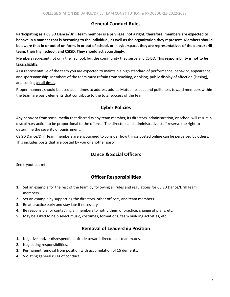#### **General Conduct Rules**

<span id="page-6-0"></span>Participating as a CSISD Dance/Drill Team member is a privilege, not a right; therefore, members are expected to behave in a manner that is becoming to the individual, as well as the organization they represent. Members should be aware that in or out of uniform, in or out of school, or in cyberspace, they are representatives of the dance/drill **team, their high school, and CSISD. They should act accordingly.**

Members represent not only their school, but the community they serve and CSISD. **This responsibility is not to be taken lightly**.

As a representative of the team you are expected to maintain a high standard of performance, behavior, appearance, and sportsmanship. Members of the team must refrain from smoking, drinking, public display of affection (kissing), and cursing **at all times**.

<span id="page-6-1"></span>Proper manners should be used at all times to address adults. Mutual respect and politeness toward members within the team are basic elements that contribute to the total success of the team.

### **Cyber Policies**

Any behavior from social media that discredits any team member, its directors, administration, or school will result in disciplinary action to be proportional to the offense. The directors and administrative staff reserve the right to determine the severity of punishment.

<span id="page-6-2"></span>CSISD Dance/Drill Team members are encouraged to consider how things posted online can be perceived by others. This includes posts that are posted by you or another party.

#### **Dance & Social Officers**

<span id="page-6-3"></span>See tryout packet.

## **Officer Responsibilities**

- **1.** Set an example for the rest of the team by following all rules and regulations for CSISD Dance/Drill Team members.
- **2.** Set an example by supporting the directors, other officers, and team members.
- **3.** Be at practice early and stay late if necessary.
- **4.** Be responsible for contacting all members to notify them of practice, change of plans, etc.
- <span id="page-6-4"></span>**5.** May be asked to help select music, costumes, formations, team building activities, etc.

#### **Removal of Leadership Position**

- **1.** Negative and/or disrespectful attitude toward directors or teammates.
- **2.** Neglecting responsibilities.
- **3.** Permanent removal from position with accumulation of 15 demerits.
- **4.** Violating general rules of conduct.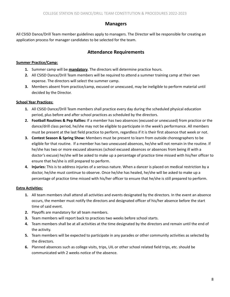#### **Managers**

<span id="page-7-1"></span><span id="page-7-0"></span>All CSISD Dance/Drill Team member guidelines apply to managers. The Director will be responsible for creating an application process for manager candidates to be selected for the team.

## **Attendance Requirements**

#### **Summer Practice/Camp:**

- **1.** Summer camp will be **mandatory**. The directors will determine practice hours.
- **2.** All CSISD Dance/Drill Team members will be required to attend a summer training camp at their own expense. The directors will select the summer camp.
- **3.** Members absent from practice/camp, excused or unexcused, may be ineligible to perform material until decided by the Director.

#### **School Year Practices:**

- **1.** All CSISD Dance/Drill Team members shall practice every day during the scheduled physical education period, plus before and after school practices as scheduled by the directors.
- **2. Football Routines & Pep Rallies:** If a member has two absences (excused or unexcused) from practice or the dance/drill class period, he/she may not be eligible to participate in the week's performance. All members must be present at the last field practice to perform, regardless if it is their first absence that week or not.
- **3. Contest Season & Spring Show:** Members must be present to learn from outside choreographers to be eligible for that routine. If a member has two unexcused absences, he/she will not remain in the routine. If he/she has two or more excused absences (school excused absences or absences from being ill with a doctor's excuse) he/she will be asked to make up a percentage of practice time missed with his/her officer to ensure that he/she is still prepared to perform.
- **4. Injuries:** This is to address injuries of a serious nature. When a dancer is placed on medical restriction by a doctor, he/she must continue to observe. Once he/she has healed, he/she will be asked to make up a percentage of practice time missed with his/her officer to ensure that he/she is still prepared to perform.

#### **Extra Activities:**

- **1.** All team members shall attend all activities and events designated by the directors. In the event an absence occurs, the member must notify the directors and designated officer of his/her absence before the start time of said event.
- **2.** Playoffs are mandatory for all team members.
- **3.** Team members will report back to practices two weeks before school starts.
- **4.** Team members shall be at all activities at the time designated by the directors and remain until the end of the activity.
- **5.** Team members will be expected to participate in any parades or other community activities as selected by the directors.
- **6.** Planned absences such as college visits, trips, UIL or other school related field trips, etc. should be communicated with 2 weeks notice of the absence.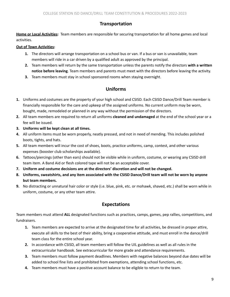#### **Transportation**

<span id="page-8-0"></span>**Home or Local Activities:** Team members are responsible for securing transportation for all home games and local activities.

#### **Out of Town Activities:**

- **1.** The directors will arrange transportation on a school bus or van. If a bus or van is unavailable, team members will ride in a car driven by a qualified adult as approved by the principal.
- **2.** Team members will return by the same transportation unless the parents notify the directors **with a written notice before leaving**. Team members and parents must meet with the directors before leaving the activity.
- <span id="page-8-1"></span>**3.** Team members must stay in school sponsored rooms when staying overnight.

### **Uniforms**

- **1.** Uniforms and costumes are the property of your high school and CSISD. Each CSISD Dance/Drill Team member is financially responsible for the care and upkeep of the assigned uniforms. No current uniform may be worn, bought, made, remodeled or planned in any way without the permission of the directors.
- **2.** All team members are required to return all uniforms **cleaned and undamaged** at the end of the school year or a fee will be issued.
- **3. Uniforms will be kept clean at all times.**
- **4.** All uniform items must be worn properly, neatly pressed, and not in need of mending. This includes polished boots, tights, and hats.
- **5.** All team members will incur the cost of shoes, boots, practice uniforms, camp, contest, and other various expenses (booster club scholarships available).
- **6.** Tattoos/piercings (other than ears) should not be visible while in uniform, costume, or wearing any CSISD drill team item. A Band Aid or flesh colored tape will not be an acceptable cover.
- **7. Uniform and costume decisions are at the directors' discretion and will not be changed.**
- 8. Uniforms, sweatshirts, and any item associated with the CSISD Dance/Drill team will not be worn by anyone **but team members.**
- <span id="page-8-2"></span>**9.** No distracting or unnatural hair color or style (i.e. blue, pink, etc. or mohawk, shaved, etc.) shall be worn while in uniform, costume, or any other team attire.

## **Expectations**

Team members must attend **ALL** designated functions such as practices, camps, games, pep rallies, competitions, and fundraisers.

- **1.** Team members are expected to arrive at the designated time for all activities, be dressed in proper attire, execute all skills to the best of their ability, bring a cooperative attitude, and must enroll in the dance/drill team class for the entire school year.
- **2.** In accordance with CSISD, all team members will follow the UIL guidelines as well as all rules in the extracurricular handbook. See extracurricular for more grade and attendance requirements.
- **3.** Team members must follow payment deadlines. Members with negative balances beyond due dates will be added to school fine lists and prohibited from exemptions, attending school functions, etc.
- **4.** Team members must have a positive account balance to be eligible to return to the team.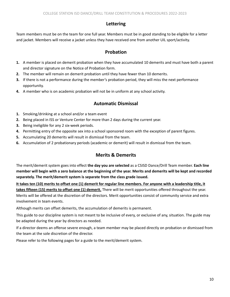#### **Lettering**

<span id="page-9-1"></span><span id="page-9-0"></span>Team members must be on the team for one full year. Members must be in good standing to be eligible for a letter and jacket. Members will receive a jacket unless they have received one from another UIL sport/activity.

## **Probation**

- **1.** A member is placed on demerit probation when they have accumulated 10 demerits and must have both a parent and director signature on the Notice of Probation form.
- **2.** The member will remain on demerit probation until they have fewer than 10 demerits.
- **3.** If there is not a performance during the member's probation period, they will miss the next performance opportunity.
- <span id="page-9-2"></span>**4.** A member who is on academic probation will not be in uniform at any school activity.

## **Automatic Dismissal**

- **1.** Smoking/drinking at a school and/or a team event
- **2.** Being placed in ISS or Venture Center for more than 2 days during the current year.
- **3.** Being ineligible for any 2 six-week periods.
- **4.** Permitting entry of the opposite sex into a school sponsored room with the exception of parent figures.
- **5.** Accumulating 20 demerits will result in dismissal from the team.
- <span id="page-9-3"></span>**6.** Accumulation of 2 probationary periods (academic or demerit) will result in dismissal from the team.

## **Merits & Demerits**

The merit/demerit system goes into effect **the day you are selected** as a CSISD Dance/Drill Team member. **Each line** member will begin with a zero balance at the beginning of the year. Merits and demerits will be kept and recorded **separately. The merit/demerit system is separate from the class grade issued.**

It takes ten (10) merits to offset one (1) demerit for regular line members. For anyone with a leadership title, it **takes fifteen (15) merits to offset one (1) demerit.** There will be merit opportunities offered throughout the year. Merits will be offered at the discretion of the directors. Merit opportunities consist of community service and extra involvement in team events.

Although merits can offset demerits, the accumulation of demerits is permanent.

This guide to our discipline system is not meant to be inclusive of every, or exclusive of any, situation. The guide may be adapted during the year by directors as needed.

If a director deems an offense severe enough, a team member may be placed directly on probation or dismissed from the team at the sole discretion of the director.

Please refer to the following pages for a guide to the merit/demerit system.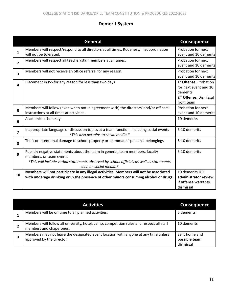# **Demerit System**

<span id="page-10-0"></span>

|                         | General                                                                                                                                                                                                                       | <b>Consequence</b>                                                                                                         |
|-------------------------|-------------------------------------------------------------------------------------------------------------------------------------------------------------------------------------------------------------------------------|----------------------------------------------------------------------------------------------------------------------------|
| 1                       | Members will respect/respond to all directors at all times. Rudeness/ insubordination<br>will not be tolerated.                                                                                                               | Probation for next<br>event and 10 demerits                                                                                |
| $\overline{\mathbf{2}}$ | Members will respect all teacher/staff members at all times.                                                                                                                                                                  | Probation for next<br>event and 10 demerits                                                                                |
| 3                       | Members will not receive an office referral for any reason.                                                                                                                                                                   | Probation for next<br>event and 10 demerits                                                                                |
| 4                       | Placement in ISS for any reason for less than two days                                                                                                                                                                        | 1 <sup>st</sup> Offense: Probation<br>for next event and 10<br>demerits<br>2 <sup>nd</sup> Offense: Dismissal<br>from team |
| 5                       | Members will follow (even when not in agreement with) the directors' and/or officers'<br>instructions at all times at activities.                                                                                             | Probation for next<br>event and 10 demerits                                                                                |
| 6                       | Academic dishonesty                                                                                                                                                                                                           | 10 demerits                                                                                                                |
| $\overline{7}$          | Inappropriate language or discussion topics at a team function, including social events<br>*This also pertains to social media.*                                                                                              | 5-10 demerits                                                                                                              |
| 8                       | Theft or intentional damage to school property or teammates' personal belongings                                                                                                                                              | 5-10 demerits                                                                                                              |
| 9                       | Publicly negative statements about the team in general, team members, faculty<br>members, or team events<br>*This will include verbal statements observed by school officials as well as statements<br>seen on social media.* | 5-10 demerits                                                                                                              |
| 10                      | Members will not participate in any illegal activities. Members will not be associated<br>with underage drinking or in the presence of other minors consuming alcohol or drugs.                                               | 10 demerits OR<br>administrator review<br>if offense warrants<br>dismissal                                                 |

| <b>Activities</b>                                                                                                   | <b>Consequence</b>                          |
|---------------------------------------------------------------------------------------------------------------------|---------------------------------------------|
| Members will be on time to all planned activities.                                                                  | 5 demerits                                  |
| Members will follow all university, hotel, camp, competition rules and respect all staff<br>members and chaperones. | 10 demerits                                 |
| Members may not leave the designated event location with anyone at any time unless<br>approved by the director.     | Sent home and<br>possible team<br>dismissal |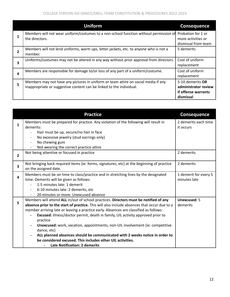|   | <b>Uniform</b>                                                                                                                                             | <b>Consequence</b>                                                           |
|---|------------------------------------------------------------------------------------------------------------------------------------------------------------|------------------------------------------------------------------------------|
|   | Members will not wear uniform/costumes to a non-school function without permission of Probation for 1 or<br>the directors.                                 | more activities or<br>dismissal from team                                    |
| 2 | Members will not lend uniforms, warm ups, letter jackets, etc. to anyone who is not a<br>member.                                                           | 5 demerits                                                                   |
| 3 | Uniforms/costumes may not be altered in any way without prior approval from directors.                                                                     | Cost of uniform<br>replacement                                               |
| 4 | Members are responsible for damage to/or loss of any part of a uniform/costume.                                                                            | Cost of uniform<br>replacement                                               |
| 5 | Members may not have any pictures in uniform or team attire on social media if any<br>inappropriate or suggestive content can be linked to the individual. | 5-10 demerits OR<br>administrator review<br>if offense warrants<br>dismissal |

|                         | <b>Practice</b>                                                                                                                 | <b>Consequence</b>                    |
|-------------------------|---------------------------------------------------------------------------------------------------------------------------------|---------------------------------------|
| $\mathbf{1}$            | Members must be prepared for practice. Any violation of the following will result in<br>demerits:                               | 2 demerits each time<br>it occurs     |
|                         | Hair must be up, secure/no hair in face<br>$\overline{a}$                                                                       |                                       |
|                         | No excessive jewelry (stud earrings only)                                                                                       |                                       |
|                         | No chewing gum                                                                                                                  |                                       |
|                         | Not wearing the correct practice attire                                                                                         |                                       |
| $\overline{2}$          | Not being attentive or focused in practice                                                                                      | 2 demerits                            |
| $\overline{\mathbf{3}}$ | Not bringing back required items (ie: forms, signatures, etc) at the beginning of practice<br>on the assigned date.             | 2 demerits                            |
| 4                       | Members must be on time to class/practice and in stretching lines by the designated<br>time. Demerits will be given as follows: | 1 demerit for every 5<br>minutes late |
|                         | 1-5 minutes late: 1 demerit                                                                                                     |                                       |
|                         | 6-10 minutes late: 2 demerits, etc<br>$\overline{a}$                                                                            |                                       |
|                         | 20 minutes or more: Unexcused absence                                                                                           |                                       |
| 5                       | Members will attend ALL in/out of school practices. Directors must be notified of any                                           | <b>Unexcused: 5</b>                   |
|                         | absence prior to the start of practice. This will also include absences that occur due to a                                     | demerits                              |
|                         | member arriving late or leaving a practice early. Absences are classified as follows:                                           |                                       |
|                         | <b>Excused:</b> illness/doctor permit, death in family, UIL activity approved prior to<br>practice                              |                                       |
|                         | Unexcused: work, vacation, appointments, non-UIL involvement (ie: competitive<br>dance, etc)                                    |                                       |
|                         | ALL planned absences should be communicated with 2 weeks notice in order to                                                     |                                       |
|                         | be considered excused. This includes other UIL activities.                                                                      |                                       |
|                         | <b>Late Notification: 2 demerits</b>                                                                                            |                                       |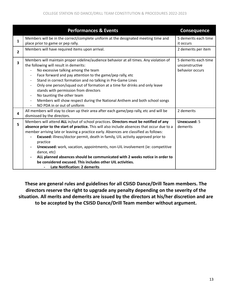|                | <b>Performances &amp; Events</b>                                                                                                                                                                                                                                                                                                                                                                                                                                                                                                                                                                                                                                                                        | <b>Consequence</b>                                        |
|----------------|---------------------------------------------------------------------------------------------------------------------------------------------------------------------------------------------------------------------------------------------------------------------------------------------------------------------------------------------------------------------------------------------------------------------------------------------------------------------------------------------------------------------------------------------------------------------------------------------------------------------------------------------------------------------------------------------------------|-----------------------------------------------------------|
| 1              | Members will be in the correct/complete uniform at the designated meeting time and<br>place prior to game or pep rally.                                                                                                                                                                                                                                                                                                                                                                                                                                                                                                                                                                                 | 5 demerits each time<br>it occurs                         |
| $\overline{2}$ | Members will have required items upon arrival.                                                                                                                                                                                                                                                                                                                                                                                                                                                                                                                                                                                                                                                          | 2 demerits per item                                       |
| 3              | Members will maintain proper sideline/audience behavior at all times. Any violation of<br>the following will result in demerits:<br>No excessive talking among the team<br>Face forward and pay attention to the game/pep rally, etc<br>$\overline{\phantom{a}}$<br>Stand in correct formation and no talking in Pre-Game Lines<br>$\blacksquare$<br>Only one person/squad out of formation at a time for drinks and only leave<br>$\overline{\phantom{a}}$<br>stands with permission from directors<br>No taunting the other team<br>$\overline{\phantom{a}}$<br>Members will show respect during the National Anthem and both school songs<br>$\overline{\phantom{a}}$<br>NO PDA in or out of uniform | 5 demerits each time<br>unconstructive<br>behavior occurs |
| 4              | All members will stay to clean up their area after each game/pep rally, etc and will be<br>dismissed by the directors.                                                                                                                                                                                                                                                                                                                                                                                                                                                                                                                                                                                  | 2 demerits                                                |
| 5              | Members will attend ALL in/out of school practices. Directors must be notified of any<br>absence prior to the start of practice. This will also include absences that occur due to a<br>member arriving late or leaving a practice early. Absences are classified as follows:<br>Excused: illness/doctor permit, death in family, UIL activity approved prior to<br>practice<br>Unexcused: work, vacation, appointments, non-UIL involvement (ie: competitive<br>dance, etc)<br>ALL planned absences should be communicated with 2 weeks notice in order to<br>be considered excused. This includes other UIL activities.<br><b>Late Notification: 2 demerits</b>                                       | <b>Unexcused: 5</b><br>demerits                           |

**These are general rules and guidelines for all CSISD Dance/Drill Team members. The directors reserve the right to upgrade any penalty depending on the severity of the situation. All merits and demerits are issued by the directors at his/her discretion and are to be accepted by the CSISD Dance/Drill Team member without argument.**